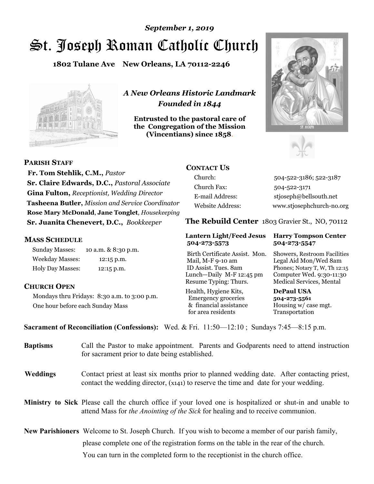# St. Joseph Roman Catholic Church *September 1, 2019*

**1802 Tulane Ave New Orleans, LA 70112-2246**



*A New Orleans Historic Landmark Founded in 1844* 

**Entrusted to the pastoral care of the Congregation of the Mission (Vincentians) since 1858**.





**PARISH STAFF**

 **Fr. Tom Stehlik, C.M.,** *Pastor* **Sr. Claire Edwards, D.C.,** *Pastoral Associate* **Gina Fulton,** *Receptionist, Wedding Director* **Tasheena Butler,** *Mission and Service Coordinator* **Rose Mary McDonald**, **Jane Tonglet**, *Housekeeping* **Sr. Juanita Chenevert, D.C.,** *Bookkeeper* 

#### **MASS SCHEDULE**

Sunday Masses: 10 a.m. & 8:30 p.m. Weekday Masses: 12:15 p.m. Holy Day Masses: 12:15 p.m.

### **CHURCH OPEN**

Mondays thru Fridays: 8:30 a.m. to 3:00 p.m. One hour before each Sunday Mass

# **CONTACT US**

Church: 504-522-3186; 522-3187 Church Fax: 504-522-3171 E-mail Address: stjoseph@bellsouth.net Website Address: www.stjosephchurch-no.org

**The Rebuild Center** 1803 Gravier St., NO, 70112

#### **Lantern Light/Feed Jesus Harry Tompson Center 504-273-5573 504-273-5547**

Birth Certificate Assist. Mon. Showers, Restroom Facilities Mail, M-F 9-10 am Legal Aid Mon/Wed 8am ID Assist. Tues. 8am Phones; Notary T, W, Th 12:15 Lunch—Daily M-F 12:45 pm Computer Wed. 9:30-11:30 Resume Typing: Thurs. Medical Services, Mental

Health, Hygiene Kits, **DePaul USA**  Emergency groceries **504-273-5561** & financial assistance Housing w/ case mgt.<br>for area residents Transportation for area residents

**Sacrament of Reconciliation (Confessions):** Wed. & Fri. 11:50—12:10 ; Sundays 7:45—8:15 p.m.

| <b>Baptisms</b> | Call the Pastor to make appointment. Parents and Godparents need to attend instruction<br>for sacrament prior to date being established.                                                                   |  |
|-----------------|------------------------------------------------------------------------------------------------------------------------------------------------------------------------------------------------------------|--|
| <b>Weddings</b> | Contact priest at least six months prior to planned wedding date. After contacting priest,<br>contact the wedding director, (x141) to reserve the time and date for your wedding.                          |  |
|                 | <b>Ministry to Sick</b> Please call the church office if your loved one is hospitalized or shut-in and unable to<br>attend Mass for <i>the Anointing of the Sick</i> for healing and to receive communion. |  |
|                 | <b>New Parishioners</b> Welcome to St. Joseph Church. If you wish to become a member of our parish family,                                                                                                 |  |
|                 | please complete one of the registration forms on the table in the rear of the church.                                                                                                                      |  |
|                 | You can turn in the completed form to the receptionist in the church office.                                                                                                                               |  |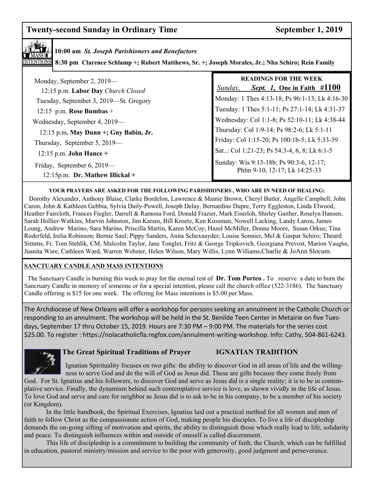# **Twenty-second Sunday in Ordinary Time September 1, 2019**



**10:00 am** *St. Joseph Parishioners and Benefactors*

**8:30 pm Clarence Schlamp +; Robert Matthews, Sr. +; Joseph Morales, Jr.; Nha Schiro; Rein Family**

| Monday, September 2, 2019—<br>12:15 p.m. Labor Day Church Closed | <b>READINGS FOR THE WEEK</b><br><i>Sept. 1</i> , One in Faith #1100<br>Sunday, |
|------------------------------------------------------------------|--------------------------------------------------------------------------------|
| Tuesday, September 3, 2019—St. Gregory                           | Monday: 1 Thes 4:13-18; Ps 96:1-13; Lk 4:16-30                                 |
| 12:15 p.m. Rose Bumbas +                                         | Tuesday: 1 Thes 5:1-11; Ps 27:1-14; Lk 4:31-37                                 |
| Wednesday, September 4, 2019—                                    | Wednesday: Col 1:1-8; Ps 52:10-11; Lk 4:38-44                                  |
| 12:15 p.m. May Dunn +; Guy Babin, Jr.                            | Thursday: Col 1:9-14; Ps 98:2-6; Lk 5:1-11                                     |
| Thursday, September 5, 2019—                                     | Friday: Col 1:15-20; Ps 100:1b-5; Lk 5:33-39                                   |
| $12:15$ p.m. John Hance +                                        | Sat: Col 1:21-23; Ps 54:3-4, 6, 8; Lk 6:1-5                                    |
| Friday, September 6, 2019—<br>$12:15p.m.$ Dr. Mathew Illickal +  | Sunday: Wis 9:13-18b; Ps 90:3-6, 12-17;<br>Phlm 9-10, 12-17; Lk 14:25-33       |

#### **YOUR PRAYERS ARE ASKED FOR THE FOLLOWING PARISHIONERS , WHO ARE IN NEED OF HEALING:**

 Dorothy Alexander, Anthony Blaise, Clarke Bordelon, Lawrence & Mamie Brown, Cheryl Butler, Angelle Campbell; John Caron, John & Kathleen Gebbia, Sylvia Daily-Powell, Joseph Delay, Bernardine Dupre, Terry Eggleston, Linda Elwood, Heather Faircloth, Frances Fiegler, Darrell & Ramona Ford, Donald Frazier, Mark Eiserloh, Shirley Gaither, Roselyn Hansen, Sarah Hollier-Watkins, Marvin Johnston, Jim Karam, Bill Kroetz, Ken Kussman, Nowell Lacking, Landy Lanza, James Leung, Andrew Marino, Sara Marino, Priscilla Martin, Karen McCoy, Hazel McMiller, Donna Moore, Susan Orkus; Tina Roderfeld, Irelia Robinson; Bernie Saul; Pippy Sanders, Anita Schexnayder; Louise Sonnier, Mel & Gaspar Schiro; Theard Simms, Fr. Tom Stehlik, CM, Malcolm Taylor, Jane Tonglet, Fritz & George Tripkovich, Georgiana Prevost, Marion Vaughn, Juanita Ware, Cathleen Ward, Warren Webster, Helen Wilson, Mary Willis, Lynn Williams,Charlie & JoAnn Slocum.

#### **SANCTUARY CANDLE AND MASS INTENTIONS**

 The Sanctuary Candle is burning this week to pray for the eternal rest of **Dr. Tom Porteo .** To reserve a date to burn the Sancruary Candle in memory of someone or for a special intention, please call the church office (522-3186). The Sanctuary Candle offering is \$15 for one week. The offering for Mass intentions is \$5.00 per Mass.

 \$25.00. To register : https://nolacatholicfla.regfox.com/annulment-writing-workshop. Info: Cathy, 504-861-6243. The Archdiocese of New Orleans will offer a workshop for persons seeking an annulment in the Catholic Church or responding to an annulment. The workshop will be held in the St. Benilde Teen Center in Metairie on five Tuesdays, September 17 thru October 15, 2019. Hours are 7:30 PM – 9:00 PM. The materials for the series cost



#### **The Great Spiritual Traditions of Prayer IGNATIAN TRADITION**

Ignatian Spirituality focuses on two gifts: the ability to discover God in all areas of life and the willing ness to serve God and do the will of God as Jesus did. These are gifts because they come freely from

God. For St. Ignatius and his followers, to discover God and serve as Jesus did is a single reality; it is to be in contemplative service. Finally, the dynamism behind such contemplative service is love, as shown vividly in the life of Jesus. To love God and serve and care for neighbor as Jesus did is to ask to be in his company, to be a member of his society (or Kingdom).

 In the little handbook, the Spiritual Exercises, Ignatius laid out a practical method for all women and men of faith to follow Christ as the compassionate action of God, making people his disciples. To live a life of discipleship demands the on-going sifting of motivation and spirits, the ability to distinguish those which really lead to life, solidarity and peace. To distinguish influences within and outside of oneself is called discernment.

 This life of discipleship is a commitment to building the community of faith, the Church, which can be fulfilled in education, pastoral ministry/mission and service to the poor with generosity, good judgment and perseverance.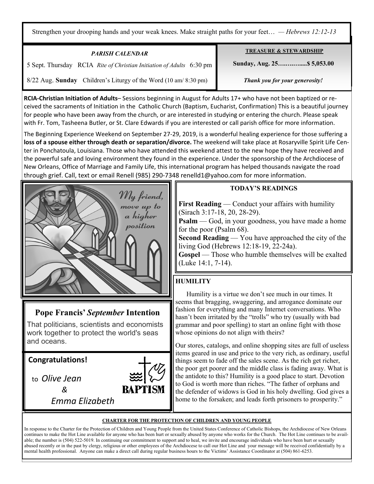Strengthen your drooping hands and your weak knees. Make straight paths for your feet… *— Hebrews 12:12‑13*

| <b>PARISH CALENDAR</b>                                               | <b>TREASURE &amp; STEWARDSHIP</b> |
|----------------------------------------------------------------------|-----------------------------------|
| 5 Sept. Thursday RCIA Rite of Christian Initiation of Adults 6:30 pm | Sunday, Aug. 25 \$5,053.00        |
| 8/22 Aug. Sunday Children's Liturgy of the Word (10 am/ 8:30 pm)     | Thank you for your generosity!    |

**RCIA-Christian Initiation of Adults**– Sessions beginning in August for Adults 17+ who have not been baptized or received the sacraments of Initiation in the Catholic Church (Baptism, Eucharist, Confirmation) This is a beautiful journey for people who have been away from the church, or are interested in studying or entering the church. Please speak with Fr. Tom, Tasheena Butler, or St. Clare Edwards if you are interested or call parish office for more information.

The Beginning Experience Weekend on September 27-29, 2019, is a wonderful healing experience for those suffering a **loss of a spouse either through death or separation/divorce.** The weekend will take place at Rosaryville Spirit Life Center in Ponchatoula, Louisiana. Those who have attended this weekend attest to the new hope they have received and the powerful safe and loving environment they found in the experience. Under the sponsorship of the Archdiocese of New Orleans, Office of Marriage and Family Life, this international program has helped thousands navigate the road through grief. Call, text or email Renell (985) 290-7348 renelld1@yahoo.com for more information.



# **Pope Francis'** *September* **Intention**

That politicians, scientists and economists work together to protect the world's seas and oceans.

*Emma Elizabeth* 

**Congratulations!** 

Ξ

 to *Olive Jean &* 



# **TODAY'S READINGS**

**First Reading** — Conduct your affairs with humility (Sirach 3:17-18, 20, 28-29).

**Psalm** — God, in your goodness, you have made a home for the poor (Psalm 68).

**Second Reading** — You have approached the city of the living God (Hebrews 12:18-19, 22-24a).

**Gospel** — Those who humble themselves will be exalted (Luke 14:1, 7-14).

# **HUMILITY**

 Humility is a virtue we don't see much in our times. It seems that bragging, swaggering, and arrogance dominate our fashion for everything and many Internet conversations. Who hasn't been irritated by the "trolls" who try (usually with bad grammar and poor spelling) to start an online fight with those whose opinions do not align with theirs?

Our stores, catalogs, and online shopping sites are full of useless items geared in use and price to the very rich, as ordinary, useful things seem to fade off the sales scene. As the rich get richer, the poor get poorer and the middle class is fading away. What is the antidote to this? Humility is a good place to start. Devotion to God is worth more than riches. "The father of orphans and the defender of widows is God in his holy dwelling. God gives a home to the forsaken; and leads forth prisoners to prosperity."

#### **CHARTER FOR THE PROTECTION OF CHILDREN AND YOUNG PEOPLE**

In response to the Charter for the Protection of Children and Young People from the United States Conference of Catholic Bishops, the Archdiocese of New Orleans continues to make the Hot Line available for anyone who has been hurt or sexually abused by anyone who works for the Church. The Hot Line continues to be available; the number is (504) 522-5019. In continuing our commitment to support and to heal, we invite and encourage individuals who have been hurt or sexually abused recently or in the past by clergy, religious or other employees of the Archdiocese to call our Hot Line and your message will be received confidentially by a mental health professional. Anyone can make a direct call during regular business hours to the Victims' Assistance Coordinator at (504) 861-6253.